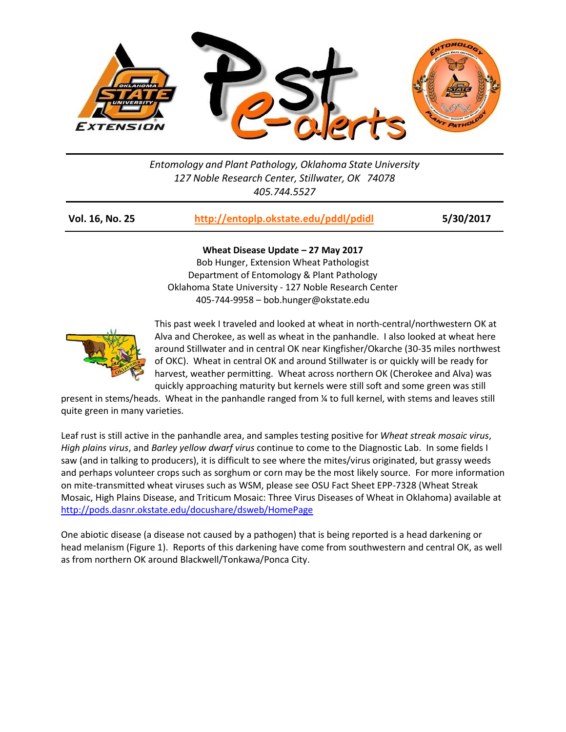

*Entomology and Plant Pathology, Oklahoma State University 127 Noble Research Center, Stillwater, OK 74078 405.744.5527*

| Vol. 16, No. 25 | http://entoplp.okstate.edu/pddl/pdidl | 5/30/2017 |
|-----------------|---------------------------------------|-----------|
|-----------------|---------------------------------------|-----------|

**Wheat Disease Update – 27 May 2017**

Bob Hunger, Extension Wheat Pathologist Department of Entomology & Plant Pathology Oklahoma State University - 127 Noble Research Center 405-744-9958 – bob.hunger@okstate.edu



This past week I traveled and looked at wheat in north-central/northwestern OK at Alva and Cherokee, as well as wheat in the panhandle. I also looked at wheat here around Stillwater and in central OK near Kingfisher/Okarche (30-35 miles northwest of OKC). Wheat in central OK and around Stillwater is or quickly will be ready for harvest, weather permitting. Wheat across northern OK (Cherokee and Alva) was quickly approaching maturity but kernels were still soft and some green was still

present in stems/heads. Wheat in the panhandle ranged from ¼ to full kernel, with stems and leaves still quite green in many varieties.

Leaf rust is still active in the panhandle area, and samples testing positive for *Wheat streak mosaic virus*, *High plains virus*, and *Barley yellow dwarf virus* continue to come to the Diagnostic Lab. In some fields I saw (and in talking to producers), it is difficult to see where the mites/virus originated, but grassy weeds and perhaps volunteer crops such as sorghum or corn may be the most likely source. For more information on mite-transmitted wheat viruses such as WSM, please see OSU Fact Sheet EPP-7328 (Wheat Streak Mosaic, High Plains Disease, and Triticum Mosaic: Three Virus Diseases of Wheat in Oklahoma) available at <http://pods.dasnr.okstate.edu/docushare/dsweb/HomePage>

One abiotic disease (a disease not caused by a pathogen) that is being reported is a head darkening or head melanism (Figure 1). Reports of this darkening have come from southwestern and central OK, as well as from northern OK around Blackwell/Tonkawa/Ponca City.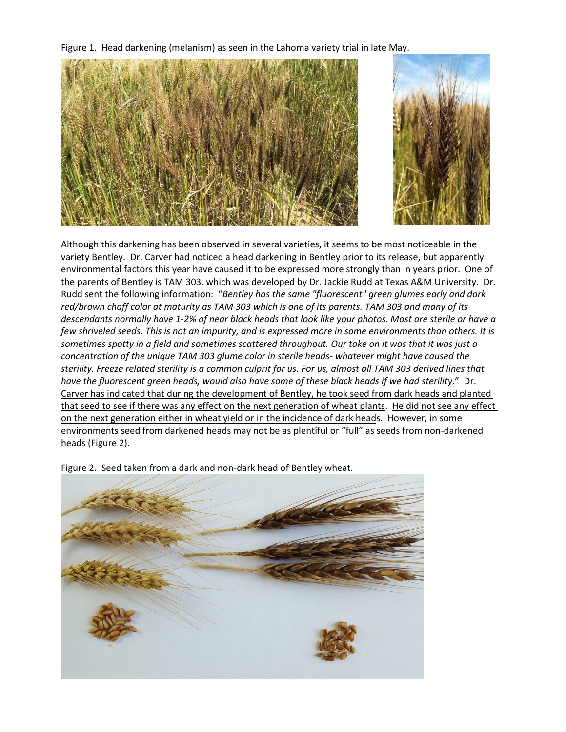Figure 1. Head darkening (melanism) as seen in the Lahoma variety trial in late May.





Although this darkening has been observed in several varieties, it seems to be most noticeable in the variety Bentley. Dr. Carver had noticed a head darkening in Bentley prior to its release, but apparently environmental factors this year have caused it to be expressed more strongly than in years prior. One of the parents of Bentley is TAM 303, which was developed by Dr. Jackie Rudd at Texas A&M University. Dr. Rudd sent the following information: "*Bentley has the same "fluorescent" green glumes early and dark red/brown chaff color at maturity as TAM 303 which is one of its parents. TAM 303 and many of its descendants normally have 1-2% of near black heads that look like your photos. Most are sterile or have a few shriveled seeds. This is not an impurity, and is expressed more in some environments than others. It is sometimes spotty in a field and sometimes scattered throughout. Our take on it was that it was just a concentration of the unique TAM 303 glume color in sterile heads- whatever might have caused the sterility. Freeze related sterility is a common culprit for us. For us, almost all TAM 303 derived lines that have the fluorescent green heads, would also have some of these black heads if we had sterility.*" Dr. Carver has indicated that during the development of Bentley, he took seed from dark heads and planted that seed to see if there was any effect on the next generation of wheat plants. He did not see any effect on the next generation either in wheat yield or in the incidence of dark heads. However, in some environments seed from darkened heads may not be as plentiful or "full" as seeds from non-darkened heads (Figure 2).



Figure 2. Seed taken from a dark and non-dark head of Bentley wheat.